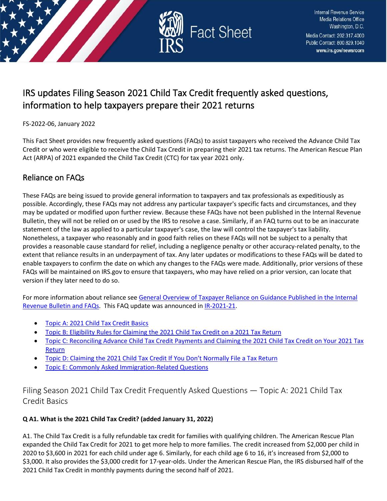

# IRS updates Filing Season 2021 Child Tax Credit frequently asked questions, information to help taxpayers prepare their 2021 returns

FS-2022-06, January 2022

This Fact Sheet provides new frequently asked questions (FAQs) to assist taxpayers who received the Advance Child Tax Credit or who were eligible to receive the Child Tax Credit in preparing their 2021 tax returns. The American Rescue Plan Act (ARPA) of 2021 expanded the Child Tax Credit (CTC) for tax year 2021 only.

## Reliance on FAQs

These FAQs are being issued to provide general information to taxpayers and tax professionals as expeditiously as possible. Accordingly, these FAQs may not address any particular taxpayer's specific facts and circumstances, and they may be updated or modified upon further review. Because these FAQs have not been published in the Internal Revenue Bulletin, they will not be relied on or used by the IRS to resolve a case. Similarly, if an FAQ turns out to be an inaccurate statement of the law as applied to a particular taxpayer's case, the law will control the taxpayer's tax liability. Nonetheless, a taxpayer who reasonably and in good faith relies on these FAQs will not be subject to a penalty that provides a reasonable cause standard for relief, including a negligence penalty or other accuracy-related penalty, to the extent that reliance results in an underpayment of tax. Any later updates or modifications to these FAQs will be dated to enable taxpayers to confirm the date on which any changes to the FAQs were made. Additionally, prior versions of these FAQs will be maintained on IRS.gov to ensure that taxpayers, who may have relied on a prior version, can locate that version if they later need to do so.

For more information about reliance se[e General Overview of Taxpayer Reliance on Guidance Published in the Internal](https://www.irs.gov/newsroom/general-overview-of-taxpayer-reliance-on-guidance-published-in-the-internal-revenue-bulletin-and-faqs)  [Revenue Bulletin and FAQs.](https://www.irs.gov/newsroom/general-overview-of-taxpayer-reliance-on-guidance-published-in-the-internal-revenue-bulletin-and-faqs) This FAQ update was announced i[n IR-2021-21.](https://www.irs.gov/newsroom/irs-issues-2021-filing-season-frequently-asked-questions-information-to-help-taxpayers-preparing-their-2021-returns)

- [Topic A: 2021 Child Tax Credit Basics](#page-0-0)
- [Topic B: Eligibility Rules for Claiming the 2021 Child Tax Credit on a 2021 Tax Return](#page-6-0)
- [Topic C: Reconciling Advance Child Tax Credit Payments and Claiming the 2021 Child Tax Credit on Your 2021 Tax](#page-13-0)  [Return](#page-13-0)
- [Topic D: Claiming the 2021 Child Tax Credit If You Don't Normally File a Tax Return](#page-20-0)
- [Topic E: Commonly Asked Immigration-Related Questions](#page-22-0)

<span id="page-0-0"></span>Filing Season 2021 Child Tax Credit Frequently Asked Questions — Topic A: 2021 Child Tax Credit Basics

## **Q A1. What is the 2021 Child Tax Credit? (added January 31, 2022)**

A1. The Child Tax Credit is a fully refundable tax credit for families with qualifying children. The American Rescue Plan expanded the Child Tax Credit for 2021 to get more help to more families. The credit increased from \$2,000 per child in 2020 to \$3,600 in 2021 for each child under age 6. Similarly, for each child age 6 to 16, it's increased from \$2,000 to \$3,000. It also provides the \$3,000 credit for 17-year-olds. Under the American Rescue Plan, the IRS disbursed half of the 2021 Child Tax Credit in monthly payments during the second half of 2021.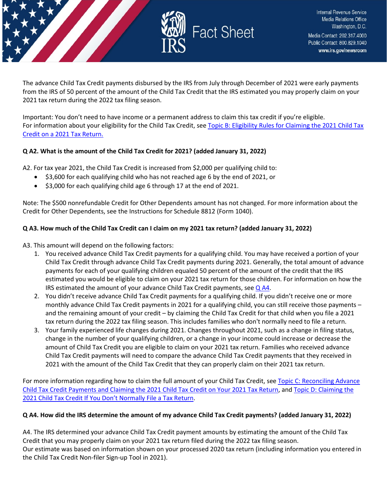

The advance Child Tax Credit payments disbursed by the IRS from July through December of 2021 were early payments from the IRS of 50 percent of the amount of the Child Tax Credit that the IRS estimated you may properly claim on your 2021 tax return during the 2022 tax filing season.

Important: You don't need to have income or a permanent address to claim this tax credit if you're eligible. For information about your eligibility for the Child Tax Credit, see Topic B: Eligibility Rules for Claiming the 2021 Child Tax [Credit on a 2021 Tax Return.](https://www.irs.gov/credits-deductions/filing-season-2021-child-tax-credit-frequently-asked-questions-topic-b-eligibility-rules-for-claiming-the-2021-child-tax-credit-on-a-2021-tax-return)

## **Q A2. What is the amount of the Child Tax Credit for 2021? (added January 31, 2022)**

A2. For tax year 2021, the Child Tax Credit is increased from \$2,000 per qualifying child to:

- \$3,600 for each qualifying child who has not reached age 6 by the end of 2021, or
- \$3,000 for each qualifying child age 6 through 17 at the end of 2021.

Note: The \$500 nonrefundable Credit for Other Dependents amount has not changed. For more information about the Credit for Other Dependents, see the Instructions for Schedule 8812 (Form 1040).

## **Q A3. How much of the Child Tax Credit can I claim on my 2021 tax return? (added January 31, 2022)**

- A3. This amount will depend on the following factors:
	- 1. You received advance Child Tax Credit payments for a qualifying child. You may have received a portion of your Child Tax Credit through advance Child Tax Credit payments during 2021. Generally, the total amount of advance payments for each of your qualifying children equaled 50 percent of the amount of the credit that the IRS estimated you would be eligible to claim on your 2021 tax return for those children. For information on how the IRS estimated the amount of your advance Child Tax Credit payments, see  $Q$  A4.
	- 2. You didn't receive advance Child Tax Credit payments for a qualifying child. If you didn't receive one or more monthly advance Child Tax Credit payments in 2021 for a qualifying child, you can still receive those payments – and the remaining amount of your credit – by claiming the Child Tax Credit for that child when you file a 2021 tax return during the 2022 tax filing season. This includes families who don't normally need to file a return.
	- 3. Your family experienced life changes during 2021. Changes throughout 2021, such as a change in filing status, change in the number of your qualifying children, or a change in your income could increase or decrease the amount of Child Tax Credit you are eligible to claim on your 2021 tax return. Families who received advance Child Tax Credit payments will need to compare the advance Child Tax Credit payments that they received in 2021 with the amount of the Child Tax Credit that they can properly claim on their 2021 tax return.

For more information regarding how to claim the full amount of your Child Tax Credit, see Topic C: Reconciling Advance [Child Tax Credit Payments and Claiming the 2021 Child Tax Credit on Your 2021 Tax Return,](https://www.irs.gov/credits-deductions/filing-season-2021-child-tax-credit-frequently-asked-questions-topic-c-reconciling-advance-child-tax-credit-payments-and-claiming-the-2021-child-tax-credit-on-your-2021-tax-return) and [Topic D: Claiming the](https://www.irs.gov/credits-deductions/filing-season-2021-child-tax-credit-frequently-asked-questions-topic-d-claiming-the-2021-child-tax-credit-if-you-dont-normally-file-a-tax-return)  [2021 Child Tax Credit If You Don't Normally File a Tax Return.](https://www.irs.gov/credits-deductions/filing-season-2021-child-tax-credit-frequently-asked-questions-topic-d-claiming-the-2021-child-tax-credit-if-you-dont-normally-file-a-tax-return)

## **Q A4. How did the IRS determine the amount of my advance Child Tax Credit payments? (added January 31, 2022)**

A4. The IRS determined your advance Child Tax Credit payment amounts by estimating the amount of the Child Tax Credit that you may properly claim on your 2021 tax return filed during the 2022 tax filing season. Our estimate was based on information shown on your processed 2020 tax return (including information you entered in the Child Tax Credit Non-filer Sign-up Tool in 2021).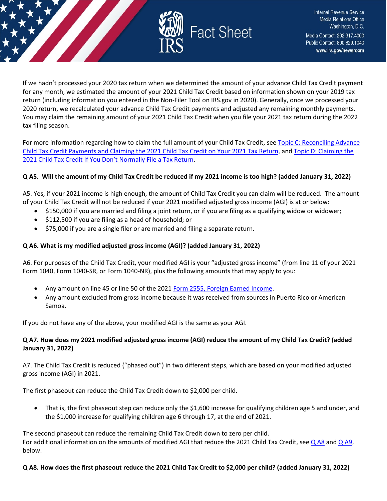

Internal Revenue Service **Media Relations Office** Washington, D.C. Media Contact: 202.317.4000 Public Contact: 800.829.1040 www.irs.gov/newsroom

If we hadn't processed your 2020 tax return when we determined the amount of your advance Child Tax Credit payment for any month, we estimated the amount of your 2021 Child Tax Credit based on information shown on your 2019 tax return (including information you entered in the Non-Filer Tool on IRS.gov in 2020). Generally, once we processed your 2020 return, we recalculated your advance Child Tax Credit payments and adjusted any remaining monthly payments. You may claim the remaining amount of your 2021 Child Tax Credit when you file your 2021 tax return during the 2022 tax filing season.

For more information regarding how to claim the full amount of your Child Tax Credit, see [Topic C: Reconciling Advance](https://www.irs.gov/credits-deductions/filing-season-2021-child-tax-credit-frequently-asked-questions-topic-c-reconciling-advance-child-tax-credit-payments-and-claiming-the-2021-child-tax-credit-on-your-2021-tax-return)  [Child Tax Credit Payments and Claiming the 2021 Child Tax Credit on Your 2021 Tax Return,](https://www.irs.gov/credits-deductions/filing-season-2021-child-tax-credit-frequently-asked-questions-topic-c-reconciling-advance-child-tax-credit-payments-and-claiming-the-2021-child-tax-credit-on-your-2021-tax-return) and [Topic D: Claiming the](https://www.irs.gov/credits-deductions/filing-season-2021-child-tax-credit-frequently-asked-questions-topic-d-claiming-the-2021-child-tax-credit-if-you-dont-normally-file-a-tax-return)  [2021 Child Tax Credit If You Don't Normally File a Tax Return.](https://www.irs.gov/credits-deductions/filing-season-2021-child-tax-credit-frequently-asked-questions-topic-d-claiming-the-2021-child-tax-credit-if-you-dont-normally-file-a-tax-return)

## **Q A5. Will the amount of my Child Tax Credit be reduced if my 2021 income is too high? (added January 31, 2022)**

A5. Yes, if your 2021 income is high enough, the amount of Child Tax Credit you can claim will be reduced. The amount of your Child Tax Credit will not be reduced if your 2021 modified adjusted gross income (AGI) is at or below:

- \$150,000 if you are married and filing a joint return, or if you are filing as a qualifying widow or widower;
- \$112,500 if you are filing as a head of household; or
- \$75,000 if you are a single filer or are married and filing a separate return.

## **Q A6. What is my modified adjusted gross income (AGI)? (added January 31, 2022)**

A6. For purposes of the Child Tax Credit, your modified AGI is your "adjusted gross income" (from line 11 of your 2021 Form 1040, Form 1040-SR, or Form 1040-NR), plus the following amounts that may apply to you:

- Any amount on line 45 or line 50 of the 2021 [Form 2555, Foreign Earned Income.](https://www.irs.gov/forms-pubs/about-form-2555)
- Any amount excluded from gross income because it was received from sources in Puerto Rico or American Samoa.

If you do not have any of the above, your modified AGI is the same as your AGI.

## **Q A7. How does my 2021 modified adjusted gross income (AGI) reduce the amount of my Child Tax Credit? (added January 31, 2022)**

A7. The Child Tax Credit is reduced ("phased out") in two different steps, which are based on your modified adjusted gross income (AGI) in 2021.

The first phaseout can reduce the Child Tax Credit down to \$2,000 per child.

• That is, the first phaseout step can reduce only the \$1,600 increase for qualifying children age 5 and under, and the \$1,000 increase for qualifying children age 6 through 17, at the end of 2021.

The second phaseout can reduce the remaining Child Tax Credit down to zero per child. For additional information on the amounts of modified AGI that reduce the 2021 Child Tax Credit, see [Q A8](https://www.irs.gov/credits-deductions/filing-season-2021-child-tax-credit-frequently-asked-questions-topic-a-2021-child-tax-credit-basics#q8) an[d Q A9,](https://www.irs.gov/credits-deductions/filing-season-2021-child-tax-credit-frequently-asked-questions-topic-a-2021-child-tax-credit-basics#q9) below.

## **Q A8. How does the first phaseout reduce the 2021 Child Tax Credit to \$2,000 per child? (added January 31, 2022)**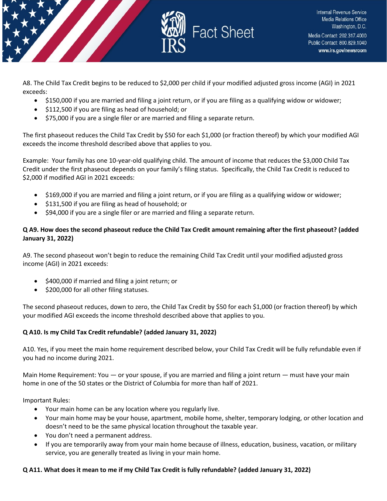

A8. The Child Tax Credit begins to be reduced to \$2,000 per child if your modified adjusted gross income (AGI) in 2021 exceeds:

- \$150,000 if you are married and filing a joint return, or if you are filing as a qualifying widow or widower;
- \$112,500 if you are filing as head of household; or
- \$75,000 if you are a single filer or are married and filing a separate return.

The first phaseout reduces the Child Tax Credit by \$50 for each \$1,000 (or fraction thereof) by which your modified AGI exceeds the income threshold described above that applies to you.

Example: Your family has one 10-year-old qualifying child. The amount of income that reduces the \$3,000 Child Tax Credit under the first phaseout depends on your family's filing status. Specifically, the Child Tax Credit is reduced to \$2,000 if modified AGI in 2021 exceeds:

- \$169,000 if you are married and filing a joint return, or if you are filing as a qualifying widow or widower;
- \$131,500 if you are filing as head of household; or
- \$94,000 if you are a single filer or are married and filing a separate return.

## **Q A9. How does the second phaseout reduce the Child Tax Credit amount remaining after the first phaseout? (added January 31, 2022)**

A9. The second phaseout won't begin to reduce the remaining Child Tax Credit until your modified adjusted gross income (AGI) in 2021 exceeds:

- \$400,000 if married and filing a joint return; or
- \$200,000 for all other filing statuses.

The second phaseout reduces, down to zero, the Child Tax Credit by \$50 for each \$1,000 (or fraction thereof) by which your modified AGI exceeds the income threshold described above that applies to you.

## **Q A10. Is my Child Tax Credit refundable? (added January 31, 2022)**

A10. Yes, if you meet the main home requirement described below, your Child Tax Credit will be fully refundable even if you had no income during 2021.

Main Home Requirement: You — or your spouse, if you are married and filing a joint return — must have your main home in one of the 50 states or the District of Columbia for more than half of 2021.

Important Rules:

- Your main home can be any location where you regularly live.
- Your main home may be your house, apartment, mobile home, shelter, temporary lodging, or other location and doesn't need to be the same physical location throughout the taxable year.
- You don't need a permanent address.
- If you are temporarily away from your main home because of illness, education, business, vacation, or military service, you are generally treated as living in your main home.

## **Q A11. What does it mean to me if my Child Tax Credit is fully refundable? (added January 31, 2022)**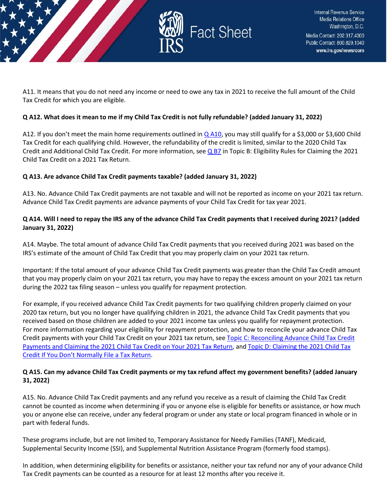

A11. It means that you do not need any income or need to owe any tax in 2021 to receive the full amount of the Child Tax Credit for which you are eligible.

#### **Q A12. What does it mean to me if my Child Tax Credit is not fully refundable? (added January 31, 2022)**

A12. If you don't meet the main home requirements outlined in [Q A10,](https://www.irs.gov/credits-deductions/filing-season-2021-child-tax-credit-frequently-asked-questions-topic-a-2021-child-tax-credit-basics#q10) you may still qualify for a \$3,000 or \$3,600 Child Tax Credit for each qualifying child. However, the refundability of the credit is limited, similar to the 2020 Child Tax Credit and Additional Child Tax Credit. For more information, see [Q B7](https://www.irs.gov/credits-deductions/filing-season-2021-child-tax-credit-frequently-asked-questions-topic-b-eligibility-rules-for-claiming-the-2021-child-tax-credit-on-a-2021-tax-return#q7) in Topic B: Eligibility Rules for Claiming the 2021 Child Tax Credit on a 2021 Tax Return.

#### **Q A13. Are advance Child Tax Credit payments taxable? (added January 31, 2022)**

A13. No. Advance Child Tax Credit payments are not taxable and will not be reported as income on your 2021 tax return. Advance Child Tax Credit payments are advance payments of your Child Tax Credit for tax year 2021.

#### **Q A14. Will I need to repay the IRS any of the advance Child Tax Credit payments that I received during 2021? (added January 31, 2022)**

A14. Maybe. The total amount of advance Child Tax Credit payments that you received during 2021 was based on the IRS's estimate of the amount of Child Tax Credit that you may properly claim on your 2021 tax return.

Important: If the total amount of your advance Child Tax Credit payments was greater than the Child Tax Credit amount that you may properly claim on your 2021 tax return, you may have to repay the excess amount on your 2021 tax return during the 2022 tax filing season – unless you qualify for repayment protection.

For example, if you received advance Child Tax Credit payments for two qualifying children properly claimed on your 2020 tax return, but you no longer have qualifying children in 2021, the advance Child Tax Credit payments that you received based on those children are added to your 2021 income tax unless you qualify for repayment protection. For more information regarding your eligibility for repayment protection, and how to reconcile your advance Child Tax Credit payments with your Child Tax Credit on your 2021 tax return, see [Topic C: Reconciling Advance Child Tax Credit](https://www.irs.gov/credits-deductions/filing-season-2021-child-tax-credit-frequently-asked-questions-topic-c-reconciling-advance-child-tax-credit-payments-and-claiming-the-2021-child-tax-credit-on-your-2021-tax-return)  [Payments and Claiming the 2021 Child Tax Credit on Your 2021 Tax Return,](https://www.irs.gov/credits-deductions/filing-season-2021-child-tax-credit-frequently-asked-questions-topic-c-reconciling-advance-child-tax-credit-payments-and-claiming-the-2021-child-tax-credit-on-your-2021-tax-return) an[d Topic D: Claiming the 2021 Child Tax](https://www.irs.gov/credits-deductions/filing-season-2021-child-tax-credit-frequently-asked-questions-topic-d-claiming-the-2021-child-tax-credit-if-you-dont-normally-file-a-tax-return)  [Credit If You Don't Normally File a Tax Return.](https://www.irs.gov/credits-deductions/filing-season-2021-child-tax-credit-frequently-asked-questions-topic-d-claiming-the-2021-child-tax-credit-if-you-dont-normally-file-a-tax-return)

## **Q A15. Can my advance Child Tax Credit payments or my tax refund affect my government benefits? (added January 31, 2022)**

A15. No. Advance Child Tax Credit payments and any refund you receive as a result of claiming the Child Tax Credit cannot be counted as income when determining if you or anyone else is eligible for benefits or assistance, or how much you or anyone else can receive, under any federal program or under any state or local program financed in whole or in part with federal funds.

These programs include, but are not limited to, Temporary Assistance for Needy Families (TANF), Medicaid, Supplemental Security Income (SSI), and Supplemental Nutrition Assistance Program (formerly food stamps).

In addition, when determining eligibility for benefits or assistance, neither your tax refund nor any of your advance Child Tax Credit payments can be counted as a resource for at least 12 months after you receive it.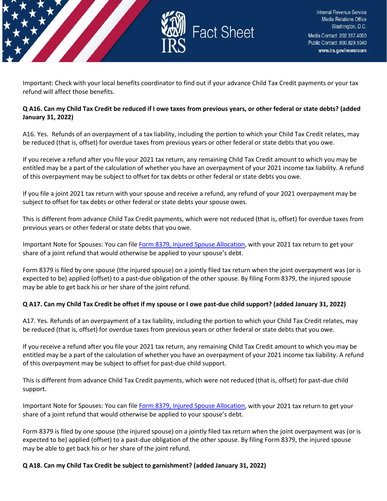

Important: Check with your local benefits coordinator to find out if your advance Child Tax Credit payments or your tax refund will affect those benefits.

## **Q A16. Can my Child Tax Credit be reduced if I owe taxes from previous years, or other federal or state debts? (added January 31, 2022)**

A16. Yes. Refunds of an overpayment of a tax liability, including the portion to which your Child Tax Credit relates, may be reduced (that is, offset) for overdue taxes from previous years or other federal or state debts that you owe.

If you receive a refund after you file your 2021 tax return, any remaining Child Tax Credit amount to which you may be entitled may be a part of the calculation of whether you have an overpayment of your 2021 income tax liability. A refund of this overpayment may be subject to offset for tax debts or other federal or state debts you owe.

If you file a joint 2021 tax return with your spouse and receive a refund, any refund of your 2021 overpayment may be subject to offset for tax debts or other federal or state debts your spouse owes.

This is different from advance Child Tax Credit payments, which were not reduced (that is, offset) for overdue taxes from previous years or other federal or state debts that you owe.

Important Note for Spouses: You can file [Form 8379, Injured Spouse Allocation,](https://www.irs.gov/forms-pubs/about-form-8379) with your 2021 tax return to get your share of a joint refund that would otherwise be applied to your spouse's debt.

Form 8379 is filed by one spouse (the injured spouse) on a jointly filed tax return when the joint overpayment was (or is expected to be) applied (offset) to a past-due obligation of the other spouse. By filing Form 8379, the injured spouse may be able to get back his or her share of the joint refund.

## **Q A17. Can my Child Tax Credit be offset if my spouse or I owe past-due child support? (added January 31, 2022)**

A17. Yes. Refunds of an overpayment of a tax liability, including the portion to which your Child Tax Credit relates, may be reduced (that is, offset) for overdue taxes from previous years or other federal or state debts that you owe.

If you receive a refund after you file your 2021 tax return, any remaining Child Tax Credit amount to which you may be entitled may be a part of the calculation of whether you have an overpayment of your 2021 income tax liability. A refund of this overpayment may be subject to offset for past-due child support.

This is different from advance Child Tax Credit payments, which were not reduced (that is, offset) for past-due child support.

Important Note for Spouses: You can file [Form 8379, Injured Spouse Allocation,](https://www.irs.gov/forms-pubs/about-form-8379) with your 2021 tax return to get your share of a joint refund that would otherwise be applied to your spouse's debt.

Form 8379 is filed by one spouse (the injured spouse) on a jointly filed tax return when the joint overpayment was (or is expected to be) applied (offset) to a past-due obligation of the other spouse. By filing Form 8379, the injured spouse may be able to get back his or her share of the joint refund.

**Q A18. Can my Child Tax Credit be subject to garnishment? (added January 31, 2022)**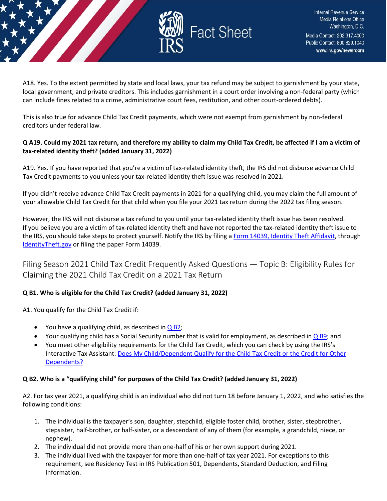

A18. Yes. To the extent permitted by state and local laws, your tax refund may be subject to garnishment by your state, local government, and private creditors. This includes garnishment in a court order involving a non-federal party (which can include fines related to a crime, administrative court fees, restitution, and other court-ordered debts).

This is also true for advance Child Tax Credit payments, which were not exempt from garnishment by non-federal creditors under federal law.

## **Q A19. Could my 2021 tax return, and therefore my ability to claim my Child Tax Credit, be affected if I am a victim of tax-related identity theft? (added January 31, 2022)**

A19. Yes. If you have reported that you're a victim of tax-related identity theft, the IRS did not disburse advance Child Tax Credit payments to you unless your tax-related identity theft issue was resolved in 2021.

If you didn't receive advance Child Tax Credit payments in 2021 for a qualifying child, you may claim the full amount of your allowable Child Tax Credit for that child when you file your 2021 tax return during the 2022 tax filing season.

However, the IRS will not disburse a tax refund to you until your tax-related identity theft issue has been resolved. If you believe you are a victim of tax-related identity theft and have not reported the tax-related identity theft issue to the IRS, you should take steps to protect yourself. Notify the IRS by filing [a Form 14039, Identity Theft Affidavit,](https://www.irs.gov/pub/irs-pdf/f14039.pdf) through [IdentityTheft.gov](https://www.identitytheft.gov/#/) or filing the paper Form 14039.

<span id="page-6-0"></span>Filing Season 2021 Child Tax Credit Frequently Asked Questions — Topic B: Eligibility Rules for Claiming the 2021 Child Tax Credit on a 2021 Tax Return

## **Q B1. Who is eligible for the Child Tax Credit? (added January 31, 2022)**

A1. You qualify for the Child Tax Credit if:

- You have a qualifying child, as described in  $Q$  B2;
- Your qualifying child has a Social Security number that is valid for employment, as described in  $\overline{Q}$  B9; and
- You meet other eligibility requirements for the Child Tax Credit, which you can check by using the IRS's Interactive Tax Assistant: [Does My Child/Dependent Qualify for the Child Tax Credit or the Credit for Other](https://www.irs.gov/help/ita/does-my-childdependent-qualify-for-the-child-tax-credit-or-the-credit-for-other-dependents)  [Dependents?](https://www.irs.gov/help/ita/does-my-childdependent-qualify-for-the-child-tax-credit-or-the-credit-for-other-dependents)

## **Q B2. Who is a "qualifying child" for purposes of the Child Tax Credit? (added January 31, 2022)**

A2. For tax year 2021, a qualifying child is an individual who did not turn 18 before January 1, 2022, and who satisfies the following conditions:

- 1. The individual is the taxpayer's son, daughter, stepchild, eligible foster child, brother, sister, stepbrother, stepsister, half-brother, or half-sister, or a descendant of any of them (for example, a grandchild, niece, or nephew).
- 2. The individual did not provide more than one-half of his or her own support during 2021.
- 3. The individual lived with the taxpayer for more than one-half of tax year 2021. For exceptions to this requirement, see Residency Test in IRS Publication 501, Dependents, Standard Deduction, and Filing Information.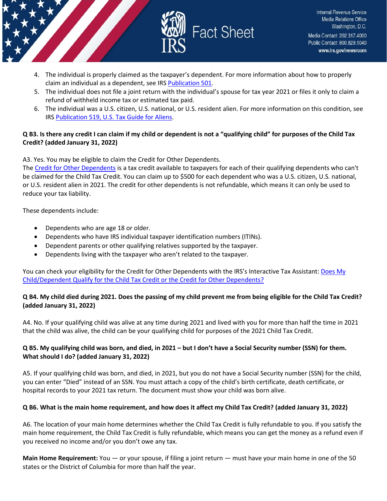



- 4. The individual is properly claimed as the taxpayer's dependent. For more information about how to properly claim an individual as a dependent, see IRS [Publication 501.](https://www.irs.gov/pub/irs-pdf/p501.pdf)
- 5. The individual does not file a joint return with the individual's spouse for tax year 2021 or files it only to claim a refund of withheld income tax or estimated tax paid.
- 6. The individual was a U.S. citizen, U.S. national, or U.S. resident alien. For more information on this condition, see IRS [Publication 519, U.S. Tax Guide for Aliens.](https://www.irs.gov/pub/irs-pdf/p519.pdf)

## **Q B3. Is there any credit I can claim if my child or dependent is not a "qualifying child" for purposes of the Child Tax Credit? (added January 31, 2022)**

A3. Yes. You may be eligible to claim the Credit for Other Dependents.

The [Credit for Other Dependents](https://www.irs.gov/forms-pubs/about-publication-972) is a tax credit available to taxpayers for each of their qualifying dependents who can't be claimed for the Child Tax Credit. You can claim up to \$500 for each dependent who was a U.S. citizen, U.S. national, or U.S. resident alien in 2021. The credit for other dependents is not refundable, which means it can only be used to reduce your tax liability.

These dependents include:

- Dependents who are age 18 or older.
- Dependents who have IRS individual taxpayer identification numbers (ITINs).
- Dependent parents or other qualifying relatives supported by the taxpayer.
- Dependents living with the taxpayer who aren't related to the taxpayer.

You can check your eligibility for the Credit for Other Dependents with the IRS's Interactive Tax Assistant: Does My [Child/Dependent Qualify for the Child Tax Credit or the Credit for Other Dependents?](https://www.irs.gov/help/ita/does-my-childdependent-qualify-for-the-child-tax-credit-or-the-credit-for-other-dependents)

## **Q B4. My child died during 2021. Does the passing of my child prevent me from being eligible for the Child Tax Credit? (added January 31, 2022)**

A4. No. If your qualifying child was alive at any time during 2021 and lived with you for more than half the time in 2021 that the child was alive, the child can be your qualifying child for purposes of the 2021 Child Tax Credit.

## **Q B5. My qualifying child was born, and died, in 2021 – but I don't have a Social Security number (SSN) for them. What should I do? (added January 31, 2022)**

A5. If your qualifying child was born, and died, in 2021, but you do not have a Social Security number (SSN) for the child, you can enter "Died" instead of an SSN. You must attach a copy of the child's birth certificate, death certificate, or hospital records to your 2021 tax return. The document must show your child was born alive.

## **Q B6. What is the main home requirement, and how does it affect my Child Tax Credit? (added January 31, 2022)**

A6. The location of your main home determines whether the Child Tax Credit is fully refundable to you. If you satisfy the main home requirement, the Child Tax Credit is fully refundable, which means you can get the money as a refund even if you received no income and/or you don't owe any tax.

**Main Home Requirement:** You — or your spouse, if filing a joint return — must have your main home in one of the 50 states or the District of Columbia for more than half the year.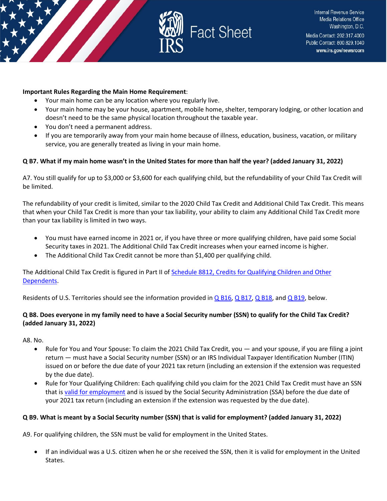

#### **Important Rules Regarding the Main Home Requirement**:

- Your main home can be any location where you regularly live.
- Your main home may be your house, apartment, mobile home, shelter, temporary lodging, or other location and doesn't need to be the same physical location throughout the taxable year.
- You don't need a permanent address.
- If you are temporarily away from your main home because of illness, education, business, vacation, or military service, you are generally treated as living in your main home.

#### **Q B7. What if my main home wasn't in the United States for more than half the year? (added January 31, 2022)**

A7. You still qualify for up to \$3,000 or \$3,600 for each qualifying child, but the refundability of your Child Tax Credit will be limited.

The refundability of your credit is limited, similar to the 2020 Child Tax Credit and Additional Child Tax Credit. This means that when your Child Tax Credit is more than your tax liability, your ability to claim any Additional Child Tax Credit more than your tax liability is limited in two ways.

- You must have earned income in 2021 or, if you have three or more qualifying children, have paid some Social Security taxes in 2021. The Additional Child Tax Credit increases when your earned income is higher.
- The Additional Child Tax Credit cannot be more than \$1,400 per qualifying child.

The Additional Child Tax Credit is figured in Part II of [Schedule 8812, Credits for Qualifying Children and Other](https://prod.edit.irs.gov/forms-pubs/about-schedule-8812-form-1040)  [Dependents.](https://prod.edit.irs.gov/forms-pubs/about-schedule-8812-form-1040)

Residents of U.S. Territories should see the information provided in [Q B16,](https://www.irs.gov/credits-deductions/filing-season-2021-child-tax-credit-frequently-asked-questions-topic-b-eligibility-rules-for-claiming-the-2021-child-tax-credit-on-a-2021-tax-return#q16) [Q B17,](https://www.irs.gov/credits-deductions/filing-season-2021-child-tax-credit-frequently-asked-questions-topic-b-eligibility-rules-for-claiming-the-2021-child-tax-credit-on-a-2021-tax-return#q17) [Q B18,](https://www.irs.gov/credits-deductions/filing-season-2021-child-tax-credit-frequently-asked-questions-topic-b-eligibility-rules-for-claiming-the-2021-child-tax-credit-on-a-2021-tax-return#q18) and [Q B19,](https://www.irs.gov/credits-deductions/filing-season-2021-child-tax-credit-frequently-asked-questions-topic-b-eligibility-rules-for-claiming-the-2021-child-tax-credit-on-a-2021-tax-return#q19) below.

## **Q B8. Does everyone in my family need to have a Social Security number (SSN) to qualify for the Child Tax Credit? (added January 31, 2022)**

A8. No.

- Rule for You and Your Spouse: To claim the 2021 Child Tax Credit, you and your spouse, if you are filing a joint return — must have a Social Security number (SSN) or an IRS Individual Taxpayer Identification Number (ITIN) issued on or before the due date of your 2021 tax return (including an extension if the extension was requested by the due date).
- Rule for Your Qualifying Children: Each qualifying child you claim for the 2021 Child Tax Credit must have an SSN that is [valid for employment](https://www.ssa.gov/ssnumber/cards.htm) and is issued by the Social Security Administration (SSA) before the due date of your 2021 tax return (including an extension if the extension was requested by the due date).

#### **Q B9. What is meant by a Social Security number (SSN) that is valid for employment? (added January 31, 2022)**

A9. For qualifying children, the SSN must be valid for employment in the United States.

• If an individual was a U.S. citizen when he or she received the SSN, then it is valid for employment in the United States.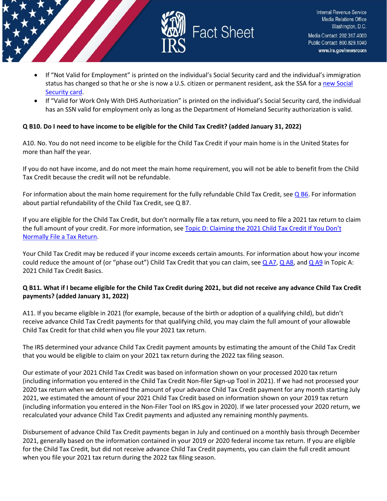

- If "Not Valid for Employment" is printed on the individual's Social Security card and the individual's immigration status has changed so that he or she is now a U.S. citizen or permanent resident, ask the SSA for a new Social [Security card.](https://www.ssa.gov/ssnumber/)
- If "Valid for Work Only With DHS Authorization" is printed on the individual's Social Security card, the individual has an SSN valid for employment only as long as the Department of Homeland Security authorization is valid.

## **Q B10. Do I need to have income to be eligible for the Child Tax Credit? (added January 31, 2022)**

A10. No. You do not need income to be eligible for the Child Tax Credit if your main home is in the United States for more than half the year.

If you do not have income, and do not meet the main home requirement, you will not be able to benefit from the Child Tax Credit because the credit will not be refundable.

For information about the main home requirement for the fully refundable Child Tax Credit, see  $Q$  B6. For information about partial refundability of the Child Tax Credit, see Q B7.

If you are eligible for the Child Tax Credit, but don't normally file a tax return, you need to file a 2021 tax return to claim the full amount of your credit. For more information, see [Topic D: Claiming the 2021 Child Tax Credit If You Don't](https://www.irs.gov/credits-deductions/filing-season-2021-child-tax-credit-frequently-asked-questions-topic-d-claiming-the-2021-child-tax-credit-if-you-dont-normally-file-a-tax-return)  [Normally File a Tax Return.](https://www.irs.gov/credits-deductions/filing-season-2021-child-tax-credit-frequently-asked-questions-topic-d-claiming-the-2021-child-tax-credit-if-you-dont-normally-file-a-tax-return)

Your Child Tax Credit may be reduced if your income exceeds certain amounts. For information about how your income could reduce the amount of (or "phase out") Child Tax Credit that you can claim, see  $Q$  A7,  $Q$  A8, and  $Q$  A9 in Topic A: 2021 Child Tax Credit Basics.

## **Q B11. What if I became eligible for the Child Tax Credit during 2021, but did not receive any advance Child Tax Credit payments? (added January 31, 2022)**

A11. If you became eligible in 2021 (for example, because of the birth or adoption of a qualifying child), but didn't receive advance Child Tax Credit payments for that qualifying child, you may claim the full amount of your allowable Child Tax Credit for that child when you file your 2021 tax return.

The IRS determined your advance Child Tax Credit payment amounts by estimating the amount of the Child Tax Credit that you would be eligible to claim on your 2021 tax return during the 2022 tax filing season.

Our estimate of your 2021 Child Tax Credit was based on information shown on your processed 2020 tax return (including information you entered in the Child Tax Credit Non-filer Sign-up Tool in 2021). If we had not processed your 2020 tax return when we determined the amount of your advance Child Tax Credit payment for any month starting July 2021, we estimated the amount of your 2021 Child Tax Credit based on information shown on your 2019 tax return (including information you entered in the Non-Filer Tool on IRS.gov in 2020). If we later processed your 2020 return, we recalculated your advance Child Tax Credit payments and adjusted any remaining monthly payments.

Disbursement of advance Child Tax Credit payments began in July and continued on a monthly basis through December 2021, generally based on the information contained in your 2019 or 2020 federal income tax return. If you are eligible for the Child Tax Credit, but did not receive advance Child Tax Credit payments, you can claim the full credit amount when you file your 2021 tax return during the 2022 tax filing season.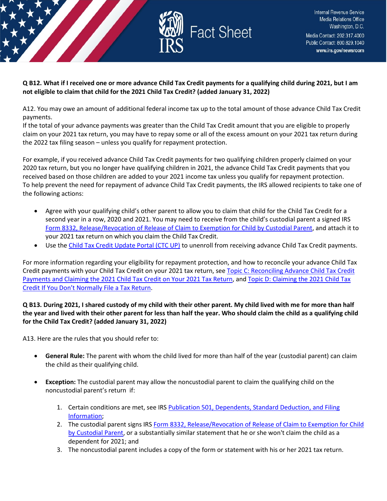

**Q B12. What if I received one or more advance Child Tax Credit payments for a qualifying child during 2021, but I am not eligible to claim that child for the 2021 Child Tax Credit? (added January 31, 2022)** 

A12. You may owe an amount of additional federal income tax up to the total amount of those advance Child Tax Credit payments.

If the total of your advance payments was greater than the Child Tax Credit amount that you are eligible to properly claim on your 2021 tax return, you may have to repay some or all of the excess amount on your 2021 tax return during the 2022 tax filing season – unless you qualify for repayment protection.

For example, if you received advance Child Tax Credit payments for two qualifying children properly claimed on your 2020 tax return, but you no longer have qualifying children in 2021, the advance Child Tax Credit payments that you received based on those children are added to your 2021 income tax unless you qualify for repayment protection. To help prevent the need for repayment of advance Child Tax Credit payments, the IRS allowed recipients to take one of the following actions:

- Agree with your qualifying child's other parent to allow you to claim that child for the Child Tax Credit for a second year in a row, 2020 and 2021. You may need to receive from the child's custodial parent a signed IRS [Form 8332, Release/Revocation of Release of Claim to Exemption for Child by Custodial Parent,](https://www.irs.gov/forms-pubs/about-form-8332) and attach it to your 2021 tax return on which you claim the Child Tax Credit.
- Use th[e Child Tax Credit Update Portal \(CTC UP\)](https://www.irs.gov/credits-deductions/child-tax-credit-update-portal) to unenroll from receiving advance Child Tax Credit payments.

For more information regarding your eligibility for repayment protection, and how to reconcile your advance Child Tax Credit payments with your Child Tax Credit on your 2021 tax return, see Topic C: Reconciling Advance Child Tax Credit [Payments and Claiming the 2021 Child Tax Credit on Your 2021 Tax Return,](https://www.irs.gov/credits-deductions/filing-season-2021-child-tax-credit-frequently-asked-questions-topic-c-reconciling-advance-child-tax-credit-payments-and-claiming-the-2021-child-tax-credit-on-your-2021-tax-return) an[d Topic D: Claiming the 2021 Child Tax](https://www.irs.gov/credits-deductions/filing-season-2021-child-tax-credit-frequently-asked-questions-topic-d-claiming-the-2021-child-tax-credit-if-you-dont-normally-file-a-tax-return)  [Credit If You Don't Normally File a Tax Return.](https://www.irs.gov/credits-deductions/filing-season-2021-child-tax-credit-frequently-asked-questions-topic-d-claiming-the-2021-child-tax-credit-if-you-dont-normally-file-a-tax-return)

## **Q B13. During 2021, I shared custody of my child with their other parent. My child lived with me for more than half the year and lived with their other parent for less than half the year. Who should claim the child as a qualifying child for the Child Tax Credit? (added January 31, 2022)**

A13. Here are the rules that you should refer to:

- **General Rule:** The parent with whom the child lived for more than half of the year (custodial parent) can claim the child as their qualifying child.
- **Exception:** The custodial parent may allow the noncustodial parent to claim the qualifying child on the noncustodial parent's return if:
	- 1. Certain conditions are met, see IRS [Publication 501, Dependents, Standard Deduction, and Filing](https://prod.edit.irs.gov/pub/irs-pdf/p501.pdf)  [Information;](https://prod.edit.irs.gov/pub/irs-pdf/p501.pdf)
	- 2. The custodial parent signs IRS [Form 8332, Release/Revocation of Release of Claim to Exemption for Child](https://www.irs.gov/forms-pubs/about-form-8332)  [by Custodial Parent,](https://www.irs.gov/forms-pubs/about-form-8332) or a substantially similar statement that he or she won't claim the child as a dependent for 2021; and
	- 3. The noncustodial parent includes a copy of the form or statement with his or her 2021 tax return.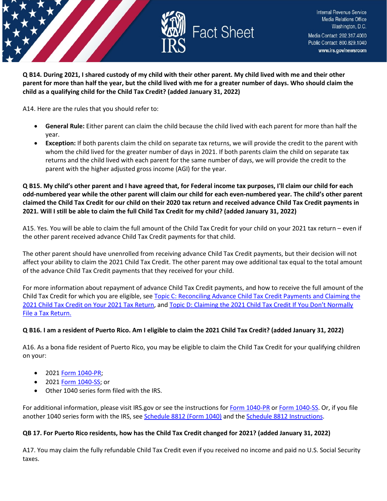

**Q B14. During 2021, I shared custody of my child with their other parent. My child lived with me and their other parent for more than half the year, but the child lived with me for a greater number of days. Who should claim the child as a qualifying child for the Child Tax Credit? (added January 31, 2022)** 

A14. Here are the rules that you should refer to:

- **General Rule:** Either parent can claim the child because the child lived with each parent for more than half the year.
- **Exception:** If both parents claim the child on separate tax returns, we will provide the credit to the parent with whom the child lived for the greater number of days in 2021. If both parents claim the child on separate tax returns and the child lived with each parent for the same number of days, we will provide the credit to the parent with the higher adjusted gross income (AGI) for the year.

**Q B15. My child's other parent and I have agreed that, for Federal income tax purposes, I'll claim our child for each odd-numbered year while the other parent will claim our child for each even-numbered year. The child's other parent claimed the Child Tax Credit for our child on their 2020 tax return and received advance Child Tax Credit payments in 2021. Will I still be able to claim the full Child Tax Credit for my child? (added January 31, 2022)** 

A15. Yes. You will be able to claim the full amount of the Child Tax Credit for your child on your 2021 tax return – even if the other parent received advance Child Tax Credit payments for that child.

The other parent should have unenrolled from receiving advance Child Tax Credit payments, but their decision will not affect your ability to claim the 2021 Child Tax Credit. The other parent may owe additional tax equal to the total amount of the advance Child Tax Credit payments that they received for your child.

For more information about repayment of advance Child Tax Credit payments, and how to receive the full amount of the Child Tax Credit for which you are eligible, see [Topic C: Reconciling Advance Child Tax Credit Payments and Claiming the](https://www.irs.gov/credits-deductions/filing-season-2021-child-tax-credit-frequently-asked-questions-topic-c-reconciling-advance-child-tax-credit-payments-and-claiming-the-2021-child-tax-credit-on-your-2021-tax-return)  [2021 Child Tax Credit on Your 2021 Tax Return,](https://www.irs.gov/credits-deductions/filing-season-2021-child-tax-credit-frequently-asked-questions-topic-c-reconciling-advance-child-tax-credit-payments-and-claiming-the-2021-child-tax-credit-on-your-2021-tax-return) and [Topic D: Claiming the 2021 Child Tax Credit If You Don't Normally](https://www.irs.gov/credits-deductions/filing-season-2021-child-tax-credit-frequently-asked-questions-topic-d-claiming-the-2021-child-tax-credit-if-you-dont-normally-file-a-tax-return)  [File a Tax Return.](https://www.irs.gov/credits-deductions/filing-season-2021-child-tax-credit-frequently-asked-questions-topic-d-claiming-the-2021-child-tax-credit-if-you-dont-normally-file-a-tax-return)

#### **Q B16. I am a resident of Puerto Rico. Am I eligible to claim the 2021 Child Tax Credit? (added January 31, 2022)**

A16. As a bona fide resident of Puerto Rico, you may be eligible to claim the Child Tax Credit for your qualifying children on your:

- 2021 [Form 1040-PR;](https://www.irs.gov/forms-pubs/about-form-1040-pr)
- 2021 [Form 1040-SS;](https://www.irs.gov/forms-pubs/about-form-1040-ss) or
- Other 1040 series form filed with the IRS.

For additional information, please visit IRS.gov or see the instructions fo[r Form 1040-PR](https://www.irs.gov/instructions/i1040pr) o[r Form 1040-SS.](https://www.irs.gov/pub/irs-pdf/i1040ss.pdf) Or, if you file another 1040 series form with the IRS, see [Schedule 8812 \(Form 1040\)](https://www.irs.gov/forms-pubs/about-schedule-8812-form-1040) and the [Schedule 8812 Instructions.](https://www.irs.gov/instructions/i1040s8)

#### **QB 17. For Puerto Rico residents, how has the Child Tax Credit changed for 2021? (added January 31, 2022)**

A17. You may claim the fully refundable Child Tax Credit even if you received no income and paid no U.S. Social Security taxes.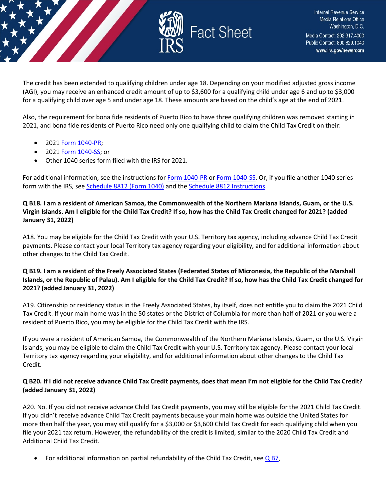

The credit has been extended to qualifying children under age 18. Depending on your modified adjusted gross income (AGI), you may receive an enhanced credit amount of up to \$3,600 for a qualifying child under age 6 and up to \$3,000 for a qualifying child over age 5 and under age 18. These amounts are based on the child's age at the end of 2021.

Also, the requirement for bona fide residents of Puerto Rico to have three qualifying children was removed starting in 2021, and bona fide residents of Puerto Rico need only one qualifying child to claim the Child Tax Credit on their:

- 2021 [Form 1040-PR;](https://www.irs.gov/forms-pubs/about-form-1040-pr)
- 2021 [Form 1040-SS;](https://www.irs.gov/pub/irs-pdf/i1040ss.pdf) or
- Other 1040 series form filed with the IRS for 2021.

For additional information, see the instructions fo[r Form 1040-PR](https://www.irs.gov/instructions/i1040pr) o[r Form 1040-SS.](https://www.irs.gov/pub/irs-pdf/i1040ss.pdf) Or, if you file another 1040 series form with the IRS, see [Schedule 8812 \(Form 1040\)](https://www.irs.gov/forms-pubs/about-schedule-8812-form-1040) and th[e Schedule 8812 Instructions.](https://www.irs.gov/instructions/i1040s8)

## **Q B18. I am a resident of American Samoa, the Commonwealth of the Northern Mariana Islands, Guam, or the U.S. Virgin Islands. Am I eligible for the Child Tax Credit? If so, how has the Child Tax Credit changed for 2021? (added January 31, 2022)**

A18. You may be eligible for the Child Tax Credit with your U.S. Territory tax agency, including advance Child Tax Credit payments. Please contact your local Territory tax agency regarding your eligibility, and for additional information about other changes to the Child Tax Credit.

## **Q B19. I am a resident of the Freely Associated States (Federated States of Micronesia, the Republic of the Marshall Islands, or the Republic of Palau). Am I eligible for the Child Tax Credit? If so, how has the Child Tax Credit changed for 2021? (added January 31, 2022)**

A19. Citizenship or residency status in the Freely Associated States, by itself, does not entitle you to claim the 2021 Child Tax Credit. If your main home was in the 50 states or the District of Columbia for more than half of 2021 or you were a resident of Puerto Rico, you may be eligible for the Child Tax Credit with the IRS.

If you were a resident of American Samoa, the Commonwealth of the Northern Mariana Islands, Guam, or the U.S. Virgin Islands, you may be eligible to claim the Child Tax Credit with your U.S. Territory tax agency. Please contact your local Territory tax agency regarding your eligibility, and for additional information about other changes to the Child Tax Credit.

## **Q B20. If I did not receive advance Child Tax Credit payments, does that mean I'm not eligible for the Child Tax Credit? (added January 31, 2022)**

A20. No. If you did not receive advance Child Tax Credit payments, you may still be eligible for the 2021 Child Tax Credit. If you didn't receive advance Child Tax Credit payments because your main home was outside the United States for more than half the year, you may still qualify for a \$3,000 or \$3,600 Child Tax Credit for each qualifying child when you file your 2021 tax return. However, the refundability of the credit is limited, similar to the 2020 Child Tax Credit and Additional Child Tax Credit.

For additional information on partial refundability of the Child Tax Credit, see  $Q$  B7.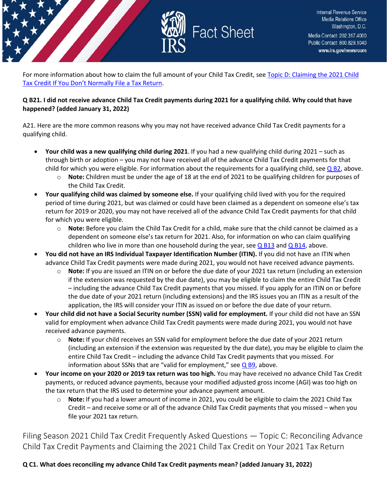

For more information about how to claim the full amount of your Child Tax Credit, see Topic D: Claiming the 2021 Child [Tax Credit If You Don't Normally File a Tax Return.](https://www.irs.gov/credits-deductions/filing-season-2021-child-tax-credit-frequently-asked-questions-topic-d-claiming-the-2021-child-tax-credit-if-you-dont-normally-file-a-tax-return)

## **Q B21. I did not receive advance Child Tax Credit payments during 2021 for a qualifying child. Why could that have happened? (added January 31, 2022)**

A21. Here are the more common reasons why you may not have received advance Child Tax Credit payments for a qualifying child.

- **Your child was a new qualifying child during 2021**. If you had a new qualifying child during 2021 such as through birth or adoption – you may not have received all of the advance Child Tax Credit payments for that child for which you were eligible. For information about the requirements for a qualifying child, see  $Q$  B2, above.
	- o **Note:** Children must be under the age of 18 at the end of 2021 to be qualifying children for purposes of the Child Tax Credit.
- **Your qualifying child was claimed by someone else.** If your qualifying child lived with you for the required period of time during 2021, but was claimed or could have been claimed as a dependent on someone else's tax return for 2019 or 2020, you may not have received all of the advance Child Tax Credit payments for that child for which you were eligible.
	- o **Note:** Before you claim the Child Tax Credit for a child, make sure that the child cannot be claimed as a dependent on someone else's tax return for 2021. Also, for information on who can claim qualifying children who live in more than one household during the year, see  $Q$  B13 and  $Q$  B14, above.
- **You did not have an IRS Individual Taxpayer Identification Number (ITIN).** If you did not have an ITIN when advance Child Tax Credit payments were made during 2021, you would not have received advance payments.
	- o **Note:** If you are issued an ITIN on or before the due date of your 2021 tax return (including an extension if the extension was requested by the due date), you may be eligible to claim the entire Child Tax Credit – including the advance Child Tax Credit payments that you missed. If you apply for an ITIN on or before the due date of your 2021 return (including extensions) and the IRS issues you an ITIN as a result of the application, the IRS will consider your ITIN as issued on or before the due date of your return.
- **Your child did not have a Social Security number (SSN) valid for employment.** If your child did not have an SSN valid for employment when advance Child Tax Credit payments were made during 2021, you would not have received advance payments.
	- o **Note:** If your child receives an SSN valid for employment before the due date of your 2021 return (including an extension if the extension was requested by the due date), you may be eligible to claim the entire Child Tax Credit – including the advance Child Tax Credit payments that you missed. For information about SSNs that are "valid for employment," see  $Q$  B9, above.
- **Your income on your 2020 or 2019 tax return was too high.** You may have received no advance Child Tax Credit payments, or reduced advance payments, because your modified adjusted gross income (AGI) was too high on the tax return that the IRS used to determine your advance payment amount.
	- o **Note:** If you had a lower amount of income in 2021, you could be eligible to claim the 2021 Child Tax Credit – and receive some or all of the advance Child Tax Credit payments that you missed – when you file your 2021 tax return.

<span id="page-13-0"></span>Filing Season 2021 Child Tax Credit Frequently Asked Questions — Topic C: Reconciling Advance Child Tax Credit Payments and Claiming the 2021 Child Tax Credit on Your 2021 Tax Return

**Q C1. What does reconciling my advance Child Tax Credit payments mean? (added January 31, 2022)**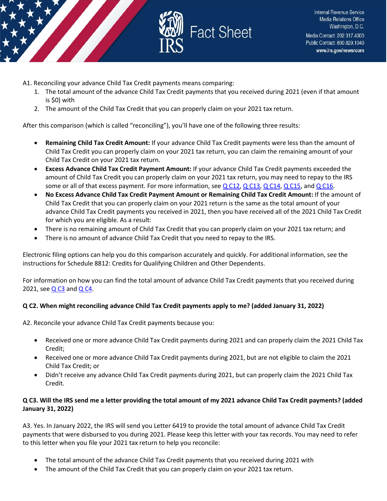

A1. Reconciling your advance Child Tax Credit payments means comparing:

- 1. The total amount of the advance Child Tax Credit payments that you received during 2021 (even if that amount is \$0) with
- 2. The amount of the Child Tax Credit that you can properly claim on your 2021 tax return.

After this comparison (which is called "reconciling"), you'll have one of the following three results:

- **Remaining Child Tax Credit Amount:** If your advance Child Tax Credit payments were less than the amount of Child Tax Credit you can properly claim on your 2021 tax return, you can claim the remaining amount of your Child Tax Credit on your 2021 tax return.
- **Excess Advance Child Tax Credit Payment Amount:** If your advance Child Tax Credit payments exceeded the amount of Child Tax Credit you can properly claim on your 2021 tax return, you may need to repay to the IRS some or all of that excess payment. For more information, see  $Q$  C12,  $Q$  C13,  $Q$  C14,  $Q$  C15, and  $Q$  C16.
- **No Excess Advance Child Tax Credit Payment Amount or Remaining Child Tax Credit Amount:** If the amount of Child Tax Credit that you can properly claim on your 2021 return is the same as the total amount of your advance Child Tax Credit payments you received in 2021, then you have received all of the 2021 Child Tax Credit for which you are eligible. As a result:
- There is no remaining amount of Child Tax Credit that you can properly claim on your 2021 tax return; and
- There is no amount of advance Child Tax Credit that you need to repay to the IRS.

Electronic filing options can help you do this comparison accurately and quickly. For additional information, see the instructions for Schedule 8812: Credits for Qualifying Children and Other Dependents.

For information on how you can find the total amount of advance Child Tax Credit payments that you received during 2021, see  $QC3$  and  $QC4$ .

## **Q C2. When might reconciling advance Child Tax Credit payments apply to me? (added January 31, 2022)**

A2. Reconcile your advance Child Tax Credit payments because you:

- Received one or more advance Child Tax Credit payments during 2021 and can properly claim the 2021 Child Tax Credit;
- Received one or more advance Child Tax Credit payments during 2021, but are not eligible to claim the 2021 Child Tax Credit; or
- Didn't receive any advance Child Tax Credit payments during 2021, but can properly claim the 2021 Child Tax Credit.

## **Q C3. Will the IRS send me a letter providing the total amount of my 2021 advance Child Tax Credit payments? (added January 31, 2022)**

A3. Yes. In January 2022, the IRS will send you Letter 6419 to provide the total amount of advance Child Tax Credit payments that were disbursed to you during 2021. Please keep this letter with your tax records. You may need to refer to this letter when you file your 2021 tax return to help you reconcile:

- The total amount of the advance Child Tax Credit payments that you received during 2021 with
- The amount of the Child Tax Credit that you can properly claim on your 2021 tax return.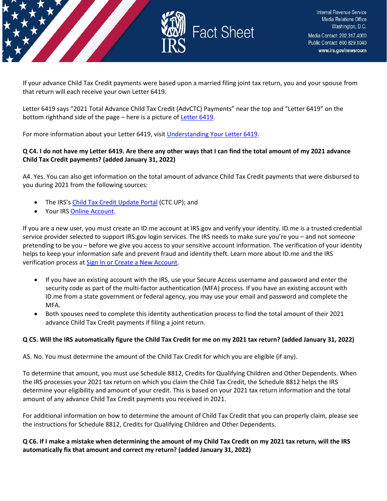

If your advance Child Tax Credit payments were based upon a married filing joint tax return, you and your spouse from that return will each receive your own Letter 6419.

Letter 6419 says "2021 Total Advance Child Tax Credit (AdvCTC) Payments" near the top and "Letter 6419" on the bottom righthand side of the page – here is a picture of [Letter 6419.](https://www.irs.gov/pub/irs-utl/ltr6419-sample.pdf)

For more information about your Letter 6419, visit [Understanding Your Letter 6419.](https://www.irs.gov/individuals/understanding-your-letter-6419)

## **Q C4. I do not have my Letter 6419. Are there any other ways that I can find the total amount of my 2021 advance Child Tax Credit payments? (added January 31, 2022)**

A4. Yes. You can also get information on the total amount of advance Child Tax Credit payments that were disbursed to you during 2021 from the following sources:

- The IRS'[s Child Tax Credit Update Portal](https://www.irs.gov/credits-deductions/child-tax-credit-update-portal) (CTC UP); and
- Your IR[S Online Account.](https://www.irs.gov/payments/your-online-account)

If you are a new user, you must create an ID.me account at IRS.gov and verify your identity. ID.me is a trusted credential service provider selected to support IRS.gov login services. The IRS needs to make sure you're you – and not someone pretending to be you – before we give you access to your sensitive account information. The verification of your identity helps to keep your information safe and prevent fraud and identity theft. Learn more about ID.me and the IRS verification process at [Sign In or Create a New Account.](https://sa.www4.irs.gov/secureaccess/ui/?TYPE=33554433&REALMOID=06-0005eaac-e22a-10b8-928e-7c2b0ad00000&GUID=&SMAUTHREASON=0&METHOD=GET&SMAGENTNAME=-SM-u0ktItgVFneUJDzkQ7tjvLYXyclDooCJJ7%2bjXGjg3YC5id2x9riHE98hoVgd1BBv&TARGET=-SM-http%3a%2f%2fsa%2ewww4%2eirs%2egov%2fctc%2f)

- If you have an existing account with the IRS, use your Secure Access username and password and enter the security code as part of the multi-factor authentication (MFA) process. If you have an existing account with ID.me from a state government or federal agency, you may use your email and password and complete the MFA.
- Both spouses need to complete this identity authentication process to find the total amount of their 2021 advance Child Tax Credit payments if filing a joint return.

## **Q C5. Will the IRS automatically figure the Child Tax Credit for me on my 2021 tax return? (added January 31, 2022)**

A5. No. You must determine the amount of the Child Tax Credit for which you are eligible (if any).

To determine that amount, you must use Schedule 8812, Credits for Qualifying Children and Other Dependents. When the IRS processes your 2021 tax return on which you claim the Child Tax Credit, the Schedule 8812 helps the IRS determine your eligibility and amount of your credit. This is based on your 2021 tax return information and the total amount of any advance Child Tax Credit payments you received in 2021.

For additional information on how to determine the amount of Child Tax Credit that you can properly claim, please see the instructions for Schedule 8812, Credits for Qualifying Children and Other Dependents.

## **Q C6. If I make a mistake when determining the amount of my Child Tax Credit on my 2021 tax return, will the IRS automatically fix that amount and correct my return? (added January 31, 2022)**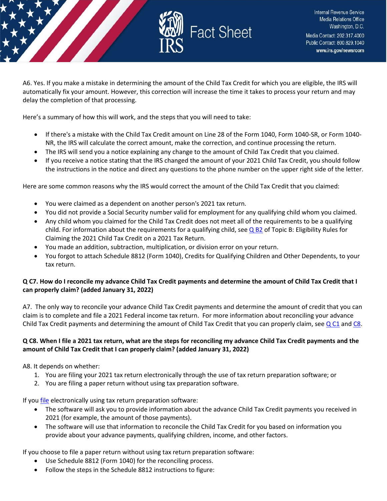

Internal Revenue Service **Media Relations Office** Washington, D.C. Media Contact: 202.317.4000 Public Contact: 800.829.1040 www.irs.gov/newsroom

A6. Yes. If you make a mistake in determining the amount of the Child Tax Credit for which you are eligible, the IRS will automatically fix your amount. However, this correction will increase the time it takes to process your return and may delay the completion of that processing.

Here's a summary of how this will work, and the steps that you will need to take:

- If there's a mistake with the Child Tax Credit amount on Line 28 of the Form 1040, Form 1040-SR, or Form 1040- NR, the IRS will calculate the correct amount, make the correction, and continue processing the return.
- The IRS will send you a notice explaining any change to the amount of Child Tax Credit that you claimed.
- If you receive a notice stating that the IRS changed the amount of your 2021 Child Tax Credit, you should follow the instructions in the notice and direct any questions to the phone number on the upper right side of the letter.

Here are some common reasons why the IRS would correct the amount of the Child Tax Credit that you claimed:

- You were claimed as a dependent on another person's 2021 tax return.
- You did not provide a Social Security number valid for employment for any qualifying child whom you claimed.
- Any child whom you claimed for the Child Tax Credit does not meet all of the requirements to be a qualifying child. For information about the requirements for a qualifying child, see  $Q$  B2 of Topic B: Eligibility Rules for Claiming the 2021 Child Tax Credit on a 2021 Tax Return.
- You made an addition, subtraction, multiplication, or division error on your return.
- You forgot to attach Schedule 8812 (Form 1040), Credits for Qualifying Children and Other Dependents, to your tax return.

## **Q C7. How do I reconcile my advance Child Tax Credit payments and determine the amount of Child Tax Credit that I can properly claim? (added January 31, 2022)**

A7. The only way to reconcile your advance Child Tax Credit payments and determine the amount of credit that you can claim is to complete and file a 2021 Federal income tax return. For more information about reconciling your advance Child Tax Credit payments and determining the amount of Child Tax Credit that you can properly claim, see  $Q$  C1 and [C8.](https://www.irs.gov/credits-deductions/filing-season-2021-child-tax-credit-frequently-asked-questions-topic-c-reconciling-advance-child-tax-credit-payments-and-claiming-the-2021-child-tax-credit-on-your-2021-tax-return#q8)

## **Q C8. When I file a 2021 tax return, what are the steps for reconciling my advance Child Tax Credit payments and the amount of Child Tax Credit that I can properly claim? (added January 31, 2022)**

A8. It depends on whether:

- 1. You are filing your 2021 tax return electronically through the use of tax return preparation software; or
- 2. You are filing a paper return without using tax preparation software.

If yo[u file](https://www.irs.gov/filing/individuals/how-to-file) electronically using tax return preparation software:

- The software will ask you to provide information about the advance Child Tax Credit payments you received in 2021 (for example, the amount of those payments).
- The software will use that information to reconcile the Child Tax Credit for you based on information you provide about your advance payments, qualifying children, income, and other factors.

If you choose to file a paper return without using tax return preparation software:

- Use Schedule 8812 (Form 1040) for the reconciling process.
- Follow the steps in the Schedule 8812 instructions to figure: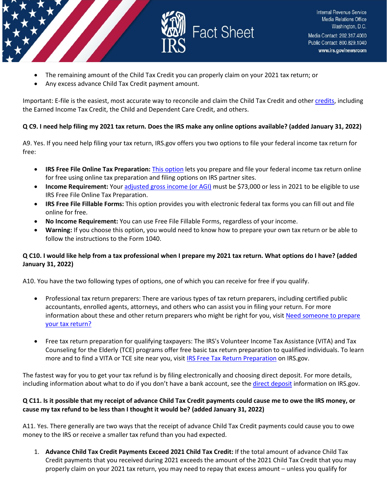

- The remaining amount of the Child Tax Credit you can properly claim on your 2021 tax return; or
- Any excess advance Child Tax Credit payment amount.

Important: E-file is the easiest, most accurate way to reconcile and claim the Child Tax Credit and othe[r credits,](https://www.irs.gov/credits-and-deductions) including the Earned Income Tax Credit, the Child and Dependent Care Credit, and others.

## **Q C9. I need help filing my 2021 tax return. Does the IRS make any online options available? (added January 31, 2022)**

A9. Yes. If you need help filing your tax return, IRS.gov offers you two options to file your federal income tax return for free:

- **IRS Free File Online Tax Preparation:** [This option](https://www.irs.gov/filing/free-file-do-your-federal-taxes-for-free) lets you prepare and file your federal income tax return online for free using online tax preparation and filing options on IRS partner sites.
- **Income Requirement:** Your [adjusted gross income \(or AGI\)](https://www.irs.gov/e-file-providers/definition-of-adjusted-gross-income) must be \$73,000 or less in 2021 to be eligible to use IRS Free File Online Tax Preparation.
- **IRS Free File Fillable Forms:** This option provides you with electronic federal tax forms you can fill out and file online for free.
- **No Income Requirement:** You can use Free File Fillable Forms, regardless of your income.
- **Warning:** If you choose this option, you would need to know how to prepare your own tax return or be able to follow the instructions to the Form 1040.

## **Q C10. I would like help from a tax professional when I prepare my 2021 tax return. What options do I have? (added January 31, 2022)**

A10. You have the two following types of options, one of which you can receive for free if you qualify.

- Professional tax return preparers: There are various types of tax return preparers, including certified public accountants, enrolled agents, attorneys, and others who can assist you in filing your return. For more information about these and other return preparers who might be right for you, visit Need someone to prepare [your tax return?](https://www.irs.gov/tax-professionals/choosing-a-tax-professional)
- Free tax return preparation for qualifying taxpayers: The IRS's Volunteer Income Tax Assistance (VITA) and Tax Counseling for the Elderly (TCE) programs offer free basic tax return preparation to qualified individuals. To learn more and to find a VITA or TCE site near you, visi[t IRS Free Tax Return Preparation](https://www.irs.gov/individuals/free-tax-return-preparation-for-qualifying-taxpayers) on IRS.gov.

The fastest way for you to get your tax refund is by filing electronically and choosing direct deposit. For more details, including information about what to do if you don't have a bank account, see the [direct deposit](https://www.irs.gov/refunds/get-your-refund-faster-tell-irs-to-direct-deposit-your-refund-to-one-two-or-three-accounts) information on IRS.gov.

## **Q C11. Is it possible that my receipt of advance Child Tax Credit payments could cause me to owe the IRS money, or cause my tax refund to be less than I thought it would be? (added January 31, 2022)**

A11. Yes. There generally are two ways that the receipt of advance Child Tax Credit payments could cause you to owe money to the IRS or receive a smaller tax refund than you had expected.

1. **Advance Child Tax Credit Payments Exceed 2021 Child Tax Credit:** If the total amount of advance Child Tax Credit payments that you received during 2021 exceeds the amount of the 2021 Child Tax Credit that you may properly claim on your 2021 tax return, you may need to repay that excess amount – unless you qualify for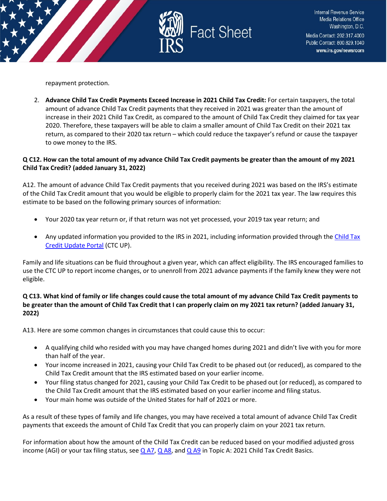

repayment protection.

2. **Advance Child Tax Credit Payments Exceed Increase in 2021 Child Tax Credit:** For certain taxpayers, the total amount of advance Child Tax Credit payments that they received in 2021 was greater than the amount of increase in their 2021 Child Tax Credit, as compared to the amount of Child Tax Credit they claimed for tax year 2020. Therefore, these taxpayers will be able to claim a smaller amount of Child Tax Credit on their 2021 tax return, as compared to their 2020 tax return – which could reduce the taxpayer's refund or cause the taxpayer to owe money to the IRS.

## **Q C12. How can the total amount of my advance Child Tax Credit payments be greater than the amount of my 2021 Child Tax Credit? (added January 31, 2022)**

A12. The amount of advance Child Tax Credit payments that you received during 2021 was based on the IRS's estimate of the Child Tax Credit amount that you would be eligible to properly claim for the 2021 tax year. The law requires this estimate to be based on the following primary sources of information:

- Your 2020 tax year return or, if that return was not yet processed, your 2019 tax year return; and
- Any updated information you provided to the IRS in 2021, including information provided through th[e Child Tax](https://www.irs.gov/credits-deductions/child-tax-credit-update-portal)  [Credit Update Portal](https://www.irs.gov/credits-deductions/child-tax-credit-update-portal) (CTC UP).

Family and life situations can be fluid throughout a given year, which can affect eligibility. The IRS encouraged families to use the CTC UP to report income changes, or to unenroll from 2021 advance payments if the family knew they were not eligible.

## **Q C13. What kind of family or life changes could cause the total amount of my advance Child Tax Credit payments to be greater than the amount of Child Tax Credit that I can properly claim on my 2021 tax return? (added January 31, 2022)**

A13. Here are some common changes in circumstances that could cause this to occur:

- A qualifying child who resided with you may have changed homes during 2021 and didn't live with you for more than half of the year.
- Your income increased in 2021, causing your Child Tax Credit to be phased out (or reduced), as compared to the Child Tax Credit amount that the IRS estimated based on your earlier income.
- Your filing status changed for 2021, causing your Child Tax Credit to be phased out (or reduced), as compared to the Child Tax Credit amount that the IRS estimated based on your earlier income and filing status.
- Your main home was outside of the United States for half of 2021 or more.

As a result of these types of family and life changes, you may have received a total amount of advance Child Tax Credit payments that exceeds the amount of Child Tax Credit that you can properly claim on your 2021 tax return.

For information about how the amount of the Child Tax Credit can be reduced based on your modified adjusted gross income (AGI) or your tax filing status, see [Q A7,](https://www.irs.gov/credits-deductions/filing-season-2021-child-tax-credit-frequently-asked-questions-topic-a-2021-child-tax-credit-basics#q7) [Q A8,](https://www.irs.gov/credits-deductions/filing-season-2021-child-tax-credit-frequently-asked-questions-topic-a-2021-child-tax-credit-basics#q8) an[d Q A9](https://www.irs.gov/credits-deductions/filing-season-2021-child-tax-credit-frequently-asked-questions-topic-a-2021-child-tax-credit-basics#q9) in Topic A: 2021 Child Tax Credit Basics.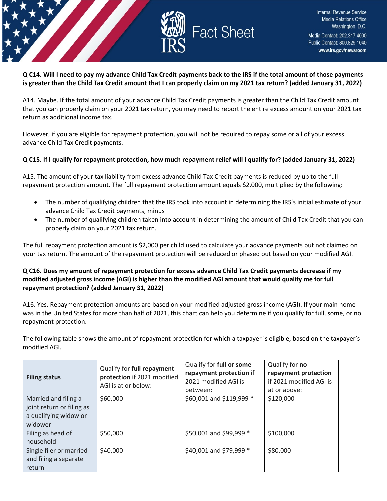

## **Q C14. Will I need to pay my advance Child Tax Credit payments back to the IRS if the total amount of those payments is greater than the Child Tax Credit amount that I can properly claim on my 2021 tax return? (added January 31, 2022)**

A14. Maybe. If the total amount of your advance Child Tax Credit payments is greater than the Child Tax Credit amount that you can properly claim on your 2021 tax return, you may need to report the entire excess amount on your 2021 tax return as additional income tax.

However, if you are eligible for repayment protection, you will not be required to repay some or all of your excess advance Child Tax Credit payments.

## **Q C15. If I qualify for repayment protection, how much repayment relief will I qualify for? (added January 31, 2022)**

A15. The amount of your tax liability from excess advance Child Tax Credit payments is reduced by up to the full repayment protection amount. The full repayment protection amount equals \$2,000, multiplied by the following:

- The number of qualifying children that the IRS took into account in determining the IRS's initial estimate of your advance Child Tax Credit payments, minus
- The number of qualifying children taken into account in determining the amount of Child Tax Credit that you can properly claim on your 2021 tax return.

The full repayment protection amount is \$2,000 per child used to calculate your advance payments but not claimed on your tax return. The amount of the repayment protection will be reduced or phased out based on your modified AGI.

## **Q C16. Does my amount of repayment protection for excess advance Child Tax Credit payments decrease if my modified adjusted gross income (AGI) is higher than the modified AGI amount that would qualify me for full repayment protection? (added January 31, 2022)**

A16. Yes. Repayment protection amounts are based on your modified adjusted gross income (AGI). If your main home was in the United States for more than half of 2021, this chart can help you determine if you qualify for full, some, or no repayment protection.

The following table shows the amount of repayment protection for which a taxpayer is eligible, based on the taxpayer's modified AGI.

| <b>Filing status</b>                                                                  | Qualify for full repayment<br>protection if 2021 modified<br>AGI is at or below: | Qualify for full or some<br>repayment protection if<br>2021 modified AGI is<br>between: | Qualify for no<br>repayment protection<br>if 2021 modified AGI is<br>at or above: |
|---------------------------------------------------------------------------------------|----------------------------------------------------------------------------------|-----------------------------------------------------------------------------------------|-----------------------------------------------------------------------------------|
| Married and filing a<br>joint return or filing as<br>a qualifying widow or<br>widower | \$60,000                                                                         | \$60,001 and \$119,999 *                                                                | \$120,000                                                                         |
| Filing as head of<br>household                                                        | \$50,000                                                                         | \$50,001 and \$99,999 *                                                                 | \$100,000                                                                         |
| Single filer or married<br>and filing a separate<br>return                            | \$40,000                                                                         | \$40,001 and \$79,999 *                                                                 | \$80,000                                                                          |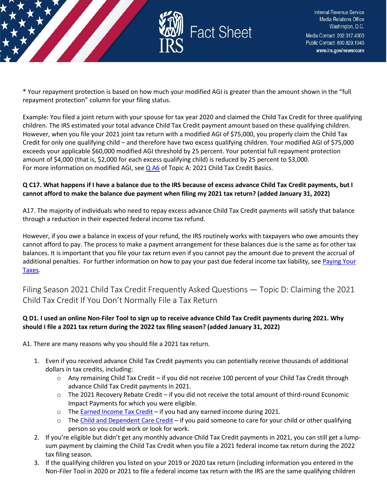

\* Your repayment protection is based on how much your modified AGI is greater than the amount shown in the "full repayment protection" column for your filing status.

Example: You filed a joint return with your spouse for tax year 2020 and claimed the Child Tax Credit for three qualifying children. The IRS estimated your total advance Child Tax Credit payment amount based on these qualifying children. However, when you file your 2021 joint tax return with a modified AGI of \$75,000, you properly claim the Child Tax Credit for only one qualifying child – and therefore have two excess qualifying children. Your modified AGI of \$75,000 exceeds your applicable \$60,000 modified AGI threshold by 25 percent. Your potential full repayment protection amount of \$4,000 (that is, \$2,000 for each excess qualifying child) is reduced by 25 percent to \$3,000. For more information on modified AGI, see [Q A6](https://www.irs.gov/credits-deductions/filing-season-2021-child-tax-credit-frequently-asked-questions-topic-a-2021-child-tax-credit-basics#q6) of Topic A: 2021 Child Tax Credit Basics.

## **Q C17. What happens if I have a balance due to the IRS because of excess advance Child Tax Credit payments, but I cannot afford to make the balance due payment when filing my 2021 tax return? (added January 31, 2022)**

A17. The majority of individuals who need to repay excess advance Child Tax Credit payments will satisfy that balance through a reduction in their expected federal income tax refund.

However, if you owe a balance in excess of your refund, the IRS routinely works with taxpayers who owe amounts they cannot afford to pay. The process to make a payment arrangement for these balances due is the same as for other tax balances. It is important that you file your tax return even if you cannot pay the amount due to prevent the accrual of additional penalties. For further information on how to pay your past due federal income tax liability, se[e Paying Your](https://www.irs.gov/payments)  [Taxes.](https://www.irs.gov/payments)

<span id="page-20-0"></span>Filing Season 2021 Child Tax Credit Frequently Asked Questions — Topic D: Claiming the 2021 Child Tax Credit If You Don't Normally File a Tax Return

## **Q D1. I used an online Non-Filer Tool to sign up to receive advance Child Tax Credit payments during 2021. Why should I file a 2021 tax return during the 2022 tax filing season? (added January 31, 2022)**

A1. There are many reasons why you should file a 2021 tax return.

- 1. Even if you received advance Child Tax Credit payments you can potentially receive thousands of additional dollars in tax credits, including:
	- o Any remaining Child Tax Credit if you did not receive 100 percent of your Child Tax Credit through advance Child Tax Credit payments in 2021.
	- o The 2021 Recovery Rebate Credit if you did not receive the total amount of third-round Economic Impact Payments for which you were eligible.
	- $\circ$  The [Earned Income Tax Credit](https://www.irs.gov/credits-deductions/individuals/earned-income-tax-credit-eitc)  if you had any earned income during 2021.
	- o The [Child and Dependent Care Credit](https://www.irs.gov/newsroom/child-and-dependent-care-credit-faqs)  if you paid someone to care for your child or other qualifying person so you could work or look for work.
- 2. If you're eligible but didn't get any monthly advance Child Tax Credit payments in 2021, you can still get a lumpsum payment by claiming the Child Tax Credit when you file a 2021 federal income tax return during the 2022 tax filing season.
- 3. If the qualifying children you listed on your 2019 or 2020 tax return (including information you entered in the Non-Filer Tool in 2020 or 2021 to file a federal income tax return with the IRS are the same qualifying children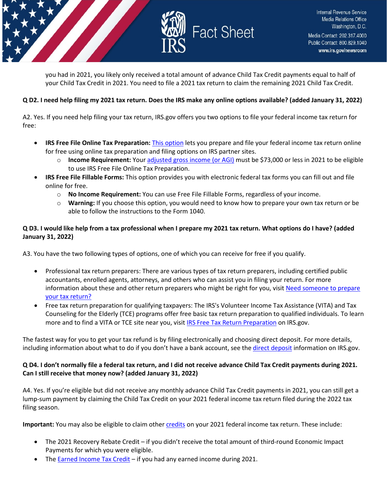

you had in 2021, you likely only received a total amount of advance Child Tax Credit payments equal to half of your Child Tax Credit in 2021. You need to file a 2021 tax return to claim the remaining 2021 Child Tax Credit.

## **Q D2. I need help filing my 2021 tax return. Does the IRS make any online options available? (added January 31, 2022)**

A2. Yes. If you need help filing your tax return, IRS.gov offers you two options to file your federal income tax return for free:

- **IRS Free File Online Tax Preparation:** [This option](https://www.irs.gov/filing/free-file-do-your-federal-taxes-for-free) lets you prepare and file your federal income tax return online for free using online tax preparation and filing options on IRS partner sites.
	- o **Income Requirement:** Your [adjusted gross income \(or AGI\)](https://www.irs.gov/e-file-providers/definition-of-adjusted-gross-income) must be \$73,000 or less in 2021 to be eligible to use IRS Free File Online Tax Preparation.
- **IRS Free File Fillable Forms:** This option provides you with electronic federal tax forms you can fill out and file online for free.
	- o **No Income Requirement:** You can use Free File Fillable Forms, regardless of your income.
	- o **Warning:** If you choose this option, you would need to know how to prepare your own tax return or be able to follow the instructions to the Form 1040.

## **Q D3. I would like help from a tax professional when I prepare my 2021 tax return. What options do I have? (added January 31, 2022)**

A3. You have the two following types of options, one of which you can receive for free if you qualify.

- Professional tax return preparers: There are various types of tax return preparers, including certified public accountants, enrolled agents, attorneys, and others who can assist you in filing your return. For more information about these and other return preparers who might be right for you, visit [Need someone to prepare](https://www.irs.gov/tax-professionals/choosing-a-tax-professional) [your tax return?](https://www.irs.gov/tax-professionals/choosing-a-tax-professional)
- Free tax return preparation for qualifying taxpayers: The IRS's Volunteer Income Tax Assistance (VITA) and Tax Counseling for the Elderly (TCE) programs offer free basic tax return preparation to qualified individuals. To learn more and to find a VITA or TCE site near you, visit [IRS Free Tax Return Preparation](https://www.irs.gov/individuals/free-tax-return-preparation-for-qualifying-taxpayers) on IRS.gov.

The fastest way for you to get your tax refund is by filing electronically and choosing direct deposit. For more details, including information about what to do if you don't have a bank account, see the [direct deposit](https://www.irs.gov/refunds/get-your-refund-faster-tell-irs-to-direct-deposit-your-refund-to-one-two-or-three-accounts) information on IRS.gov.

## **Q D4. I don't normally file a federal tax return, and I did not receive advance Child Tax Credit payments during 2021. Can I still receive that money now? (added January 31, 2022)**

A4. Yes. If you're eligible but did not receive any monthly advance Child Tax Credit payments in 2021, you can still get a lump-sum payment by claiming the Child Tax Credit on your 2021 federal income tax return filed during the 2022 tax filing season.

**Important:** You may also be eligible to claim other [credits](https://www.irs.gov/credits-and-deductions) on your 2021 federal income tax return. These include:

- The 2021 Recovery Rebate Credit if you didn't receive the total amount of third-round Economic Impact Payments for which you were eligible.
- The [Earned Income Tax Credit](https://www.irs.gov/credits-deductions/individuals/earned-income-tax-credit-eitc)  if you had any earned income during 2021.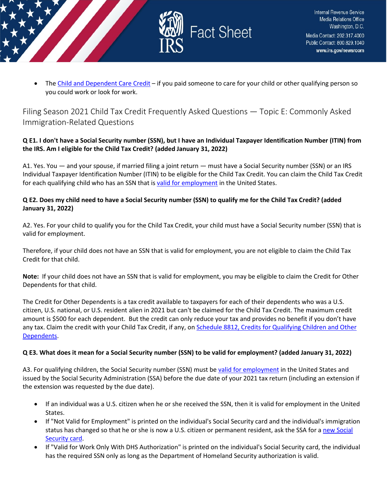

The [Child and Dependent Care Credit](https://www.irs.gov/newsroom/child-and-dependent-care-credit-faqs) – if you paid someone to care for your child or other qualifying person so you could work or look for work.

<span id="page-22-0"></span>Filing Season 2021 Child Tax Credit Frequently Asked Questions — Topic E: Commonly Asked Immigration-Related Questions

## **Q E1. I don't have a Social Security number (SSN), but I have an Individual Taxpayer Identification Number (ITIN) from the IRS. Am I eligible for the Child Tax Credit? (added January 31, 2022)**

A1. Yes. You — and your spouse, if married filing a joint return — must have a Social Security number (SSN) or an IRS Individual Taxpayer Identification Number (ITIN) to be eligible for the Child Tax Credit. You can claim the Child Tax Credit for each qualifying child who has an SSN that is [valid for employment](https://www.irs.gov/credits-deductions/filing-season-2021-child-tax-credit-frequently-asked-questions-topic-e-commonly-asked-immigration-related-questions#q3) in the United States.

## **Q E2. Does my child need to have a Social Security number (SSN) to qualify me for the Child Tax Credit? (added January 31, 2022)**

A2. Yes. For your child to qualify you for the Child Tax Credit, your child must have a Social Security number (SSN) that is valid for employment.

Therefore, if your child does not have an SSN that is valid for employment, you are not eligible to claim the Child Tax Credit for that child.

**Note:** If your child does not have an SSN that is valid for employment, you may be eligible to claim the Credit for Other Dependents for that child.

The Credit for Other Dependents is a tax credit available to taxpayers for each of their dependents who was a U.S. citizen, U.S. national, or U.S. resident alien in 2021 but can't be claimed for the Child Tax Credit. The maximum credit amount is \$500 for each dependent. But the credit can only reduce your tax and provides no benefit if you don't have any tax. Claim the credit with your Child Tax Credit, if any, on [Schedule 8812, Credits for Qualifying Children and Other](https://www.irs.gov/pub/irs-pdf/f1040s8.pdf)  [Dependents.](https://www.irs.gov/pub/irs-pdf/f1040s8.pdf)

## **Q E3. What does it mean for a Social Security number (SSN) to be valid for employment? (added January 31, 2022)**

A3. For qualifying children, the Social Security number (SSN) must b[e valid for employment](https://www.ssa.gov/ssnumber/cards.htm) in the United States and issued by the Social Security Administration (SSA) before the due date of your 2021 tax return (including an extension if the extension was requested by the due date).

- If an individual was a U.S. citizen when he or she received the SSN, then it is valid for employment in the United States.
- If "Not Valid for Employment" is printed on the individual's Social Security card and the individual's immigration status has changed so that he or she is now a U.S. citizen or permanent resident, ask the SSA for a [new Social](https://www.ssa.gov/ssnumber/) [Security card.](https://www.ssa.gov/ssnumber/)
- If "Valid for Work Only With DHS Authorization" is printed on the individual's Social Security card, the individual has the required SSN only as long as the Department of Homeland Security authorization is valid.